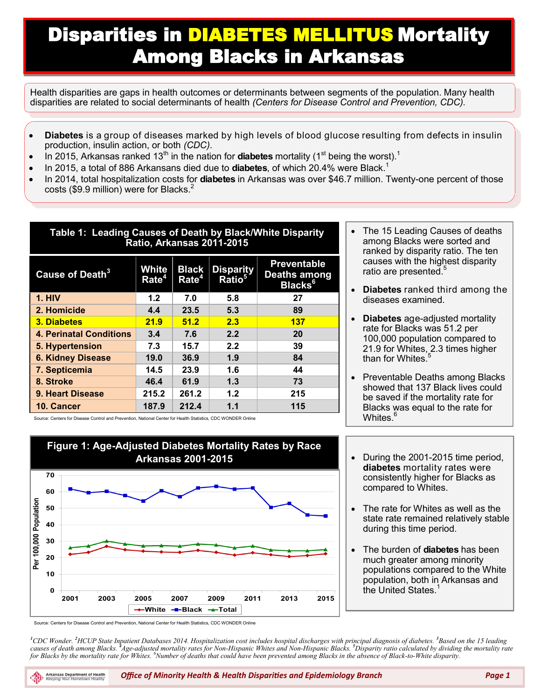## Disparities in DIABETES MELLITUS Mortality Among Blacks in Arkansas

Health disparities are gaps in health outcomes or determinants between segments of the population. Many health disparities are related to social determinants of health *(Centers for Disease Control and Prevention, CDC).*

- **Diabetes** is a group of diseases marked by high levels of blood glucose resulting from defects in insulin production, insulin action, or both *(CDC)*.
- $\bullet$  In 2015, Arkansas ranked 13<sup>th</sup> in the nation for **diabetes** mortality (1<sup>st</sup> being the worst).<sup>1</sup>
- In 2015, a total of 886 Arkansans died due to **diabetes**, of which 20.4% were Black.<sup>1</sup>
- In 2014, total hospitalization costs for **diabetes** in Arkansas was over \$46.7 million. Twenty-one percent of those costs (\$9.9 million) were for Blacks.<sup>2</sup>

| Table 1: Leading Causes of Death by Black/White Disparity<br>Ratio, Arkansas 2011-2015 |                            |                                   |                                        |                                                           |  |  |
|----------------------------------------------------------------------------------------|----------------------------|-----------------------------------|----------------------------------------|-----------------------------------------------------------|--|--|
| Cause of Death <sup>3</sup>                                                            | White<br>Rate <sup>4</sup> | <b>Black</b><br>Rate <sup>4</sup> | <b>Disparity</b><br>Ratio <sup>5</sup> | <b>Preventable</b><br>Deaths among<br>Blacks <sup>6</sup> |  |  |
| <b>1. HIV</b>                                                                          | 1.2 <sub>2</sub>           | 7.0                               | 5.8                                    | 27                                                        |  |  |
| 2. Homicide                                                                            | 4.4                        | 23.5                              | 5.3                                    | 89                                                        |  |  |
| <b>3. Diabetes</b>                                                                     | 21.9                       | 51.2                              | 2.3                                    | 137                                                       |  |  |
| <b>4. Perinatal Conditions</b>                                                         | 3.4                        | 7.6                               | 2.2                                    | 20                                                        |  |  |
| 5. Hypertension                                                                        | 7.3                        | 15.7                              | 2.2                                    | 39                                                        |  |  |
| <b>6. Kidney Disease</b>                                                               | 19.0                       | 36.9                              | 1.9                                    | 84                                                        |  |  |
| 7. Septicemia                                                                          | 14.5                       | 23.9                              | 1.6                                    | 44                                                        |  |  |
| 8. Stroke                                                                              | 46.4                       | 61.9                              | 1.3                                    | 73                                                        |  |  |
| <b>9. Heart Disease</b>                                                                | 215.2                      | 261.2                             | 1.2                                    | 215                                                       |  |  |
| 10. Cancer                                                                             | 187.9                      | 212.4                             | 1.1                                    | 115                                                       |  |  |

- The 15 Leading Causes of deaths among Blacks were sorted and ranked by disparity ratio. The ten causes with the highest disparity ratio are presented.<sup>5</sup>
- **Diabetes** ranked third among the diseases examined.
- **Diabetes** age-adjusted mortality rate for Blacks was 51.2 per 100,000 population compared to 21.9 for Whites, 2.3 times higher than for Whites. $^{\rm 5}$
- Preventable Deaths among Blacks showed that 137 Black lives could be saved if the mortality rate for Blacks was equal to the rate for Whites.

Source: Centers for Disease Control and Prevention, National Center for Health Statistics, CDC WONDER Online



- During the 2001-2015 time period, **diabetes** mortality rates were consistently higher for Blacks as compared to Whites.
- The rate for Whites as well as the state rate remained relatively stable during this time period.
- The burden of **diabetes** has been much greater among minority populations compared to the White population, both in Arkansas and the United States $<sup>1</sup>$ </sup>

Source: Centers for Disease Control and Prevention, National Center for Health Statistics, CDC WONDER Online

*<sup>1</sup>CDC Wonder. <sup>2</sup>HCUP State Inpatient Databases 2014. Hospitalization cost includes hospital discharges with principal diagnosis of diabetes. <sup>3</sup>Based on the 15 leading*  causes of death among Blacks. <sup>4</sup>Age-adjusted mortality rates for Non-Hispanic Whites and Non-Hispanic Blacks. <sup>5</sup>Disparity ratio calculated by dividing the mortality rate *for Blacks by the mortality rate for Whites. <sup>6</sup>Number of deaths that could have been prevented among Blacks in the absence of Black-to-White disparity.*